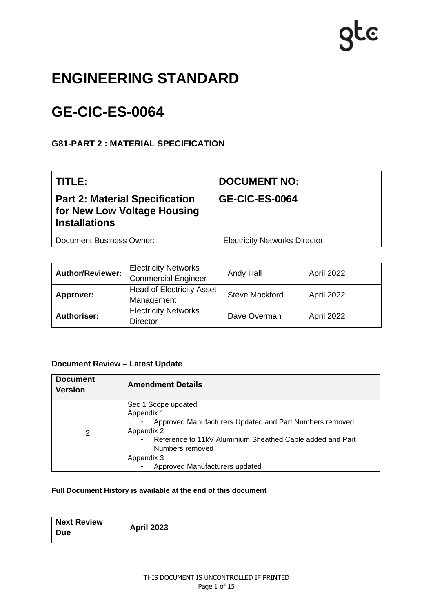### **ENGINEERING STANDARD**

## **GE-CIC-ES-0064**

### **G81-PART 2 : MATERIAL SPECIFICATION**

| l TITLE:                                                                                     | <b>DOCUMENT NO:</b>                  |
|----------------------------------------------------------------------------------------------|--------------------------------------|
| <b>Part 2: Material Specification</b><br>for New Low Voltage Housing<br><b>Installations</b> | <b>GE-CIC-ES-0064</b>                |
| <b>Document Business Owner:</b>                                                              | <b>Electricity Networks Director</b> |

| <b>Author/Reviewer:</b> | <b>Electricity Networks</b><br><b>Commercial Engineer</b> | Andy Hall             | April 2022 |
|-------------------------|-----------------------------------------------------------|-----------------------|------------|
| Approver:               | <b>Head of Electricity Asset</b><br>Management            | <b>Steve Mockford</b> | April 2022 |
| <b>Authoriser:</b>      | <b>Electricity Networks</b><br><b>Director</b>            | Dave Overman          | April 2022 |

### **Document Review – Latest Update**

| <b>Document</b><br><b>Version</b> | <b>Amendment Details</b>                                  |  |
|-----------------------------------|-----------------------------------------------------------|--|
|                                   | Sec 1 Scope updated<br>Appendix 1                         |  |
|                                   | Approved Manufacturers Updated and Part Numbers removed   |  |
| 2                                 | Appendix 2                                                |  |
|                                   | Reference to 11kV Aluminium Sheathed Cable added and Part |  |
|                                   | Numbers removed<br>Appendix 3                             |  |
|                                   | Approved Manufacturers updated                            |  |

### **Full Document History is available at the end of this document**

| <b>Next Review</b><br><b>April 2023</b><br><b>Due</b> |
|-------------------------------------------------------|
|-------------------------------------------------------|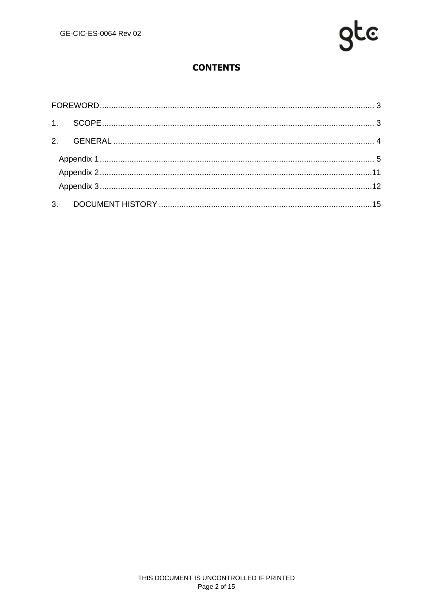

### **CONTENTS**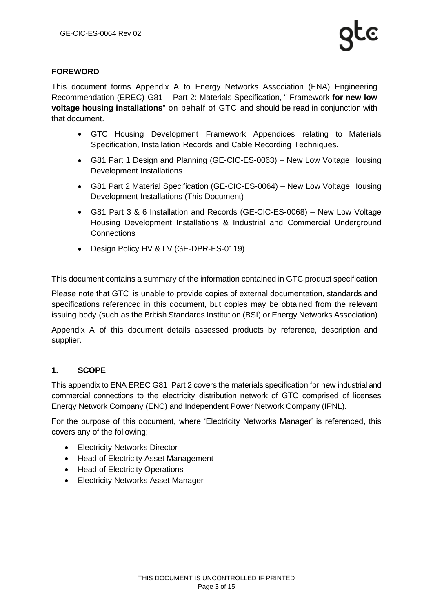### <span id="page-2-0"></span>**FOREWORD**

This document forms Appendix A to Energy Networks Association (ENA) Engineering Recommendation (EREC) G81 ‐ Part 2: Materials Specification, " Framework **for new low voltage housing installations**" on behalf of GTC and should be read in conjunction with that document.

- GTC Housing Development Framework Appendices relating to Materials Specification, Installation Records and Cable Recording Techniques.
- G81 Part 1 Design and Planning (GE-CIC-ES-0063) New Low Voltage Housing Development Installations
- G81 Part 2 Material Specification (GE-CIC-ES-0064) New Low Voltage Housing Development Installations (This Document)
- G81 Part 3 & 6 Installation and Records (GE-CIC-ES-0068) New Low Voltage Housing Development Installations & Industrial and Commercial Underground **Connections**
- Design Policy HV & LV (GE-DPR-ES-0119)

This document contains a summary of the information contained in GTC product specification

Please note that GTC is unable to provide copies of external documentation, standards and specifications referenced in this document, but copies may be obtained from the relevant issuing body (such as the British Standards Institution (BSI) or Energy Networks Association)

Appendix A of this document details assessed products by reference, description and supplier.

### <span id="page-2-1"></span>**1. SCOPE**

This appendix to ENA EREC G81 Part 2 covers the materials specification for new industrial and commercial connections to the electricity distribution network of GTC comprised of licenses Energy Network Company (ENC) and Independent Power Network Company (IPNL).

For the purpose of this document, where 'Electricity Networks Manager' is referenced, this covers any of the following;

- Electricity Networks Director
- Head of Electricity Asset Management
- Head of Electricity Operations
- Electricity Networks Asset Manager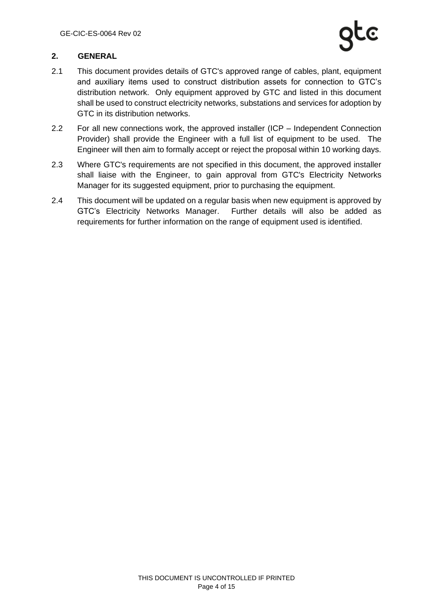### <span id="page-3-0"></span>**2. GENERAL**

- 2.1 This document provides details of GTC's approved range of cables, plant, equipment and auxiliary items used to construct distribution assets for connection to GTC's distribution network. Only equipment approved by GTC and listed in this document shall be used to construct electricity networks, substations and services for adoption by GTC in its distribution networks.
- 2.2 For all new connections work, the approved installer (ICP Independent Connection Provider) shall provide the Engineer with a full list of equipment to be used. The Engineer will then aim to formally accept or reject the proposal within 10 working days.
- 2.3 Where GTC's requirements are not specified in this document, the approved installer shall liaise with the Engineer, to gain approval from GTC's Electricity Networks Manager for its suggested equipment, prior to purchasing the equipment.
- 2.4 This document will be updated on a regular basis when new equipment is approved by GTC's Electricity Networks Manager. Further details will also be added as requirements for further information on the range of equipment used is identified.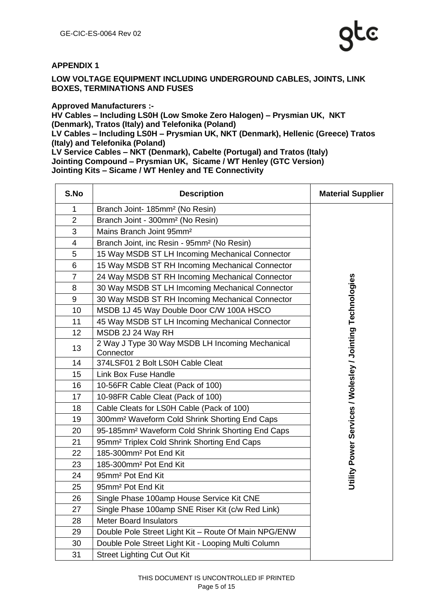### <span id="page-4-0"></span>**APPENDIX 1**

**LOW VOLTAGE EQUIPMENT INCLUDING UNDERGROUND CABLES, JOINTS, LINK BOXES, TERMINATIONS AND FUSES**

**Approved Manufacturers :-**

**HV Cables – Including LS0H (Low Smoke Zero Halogen) – Prysmian UK, NKT (Denmark), Tratos (Italy) and Telefonika (Poland) LV Cables – Including LS0H – Prysmian UK, NKT (Denmark), Hellenic (Greece) Tratos (Italy) and Telefonika (Poland) LV Service Cables – NKT (Denmark), Cabelte (Portugal) and Tratos (Italy)**

**Jointing Compound – Prysmian UK, Sicame / WT Henley (GTC Version) Jointing Kits – Sicame / WT Henley and TE Connectivity**

| S.No           | <b>Description</b>                                           | <b>Material Supplier</b>                                  |
|----------------|--------------------------------------------------------------|-----------------------------------------------------------|
| 1              | Branch Joint- 185mm <sup>2</sup> (No Resin)                  |                                                           |
| $\overline{2}$ | Branch Joint - 300mm <sup>2</sup> (No Resin)                 |                                                           |
| 3              | Mains Branch Joint 95mm <sup>2</sup>                         |                                                           |
| 4              | Branch Joint, inc Resin - 95mm <sup>2</sup> (No Resin)       |                                                           |
| 5              | 15 Way MSDB ST LH Incoming Mechanical Connector              |                                                           |
| 6              | 15 Way MSDB ST RH Incoming Mechanical Connector              |                                                           |
| $\overline{7}$ | 24 Way MSDB ST RH Incoming Mechanical Connector              |                                                           |
| 8              | 30 Way MSDB ST LH Imcoming Mechanical Connector              |                                                           |
| 9              | 30 Way MSDB ST RH Incoming Mechanical Connector              |                                                           |
| 10             | MSDB 1J 45 Way Double Door C/W 100A HSCO                     |                                                           |
| 11             | 45 Way MSDB ST LH Incoming Mechanical Connector              |                                                           |
| 12             | MSDB 2J 24 Way RH                                            |                                                           |
| 13             | 2 Way J Type 30 Way MSDB LH Incoming Mechanical<br>Connector | Utility Power Services / Wolesley / Jointing Technologies |
| 14             | 374LSF01 2 Bolt LS0H Cable Cleat                             |                                                           |
| 15             | <b>Link Box Fuse Handle</b>                                  |                                                           |
| 16             | 10-56FR Cable Cleat (Pack of 100)                            |                                                           |
| 17             | 10-98FR Cable Cleat (Pack of 100)                            |                                                           |
| 18             | Cable Cleats for LS0H Cable (Pack of 100)                    |                                                           |
| 19             | 300mm <sup>2</sup> Waveform Cold Shrink Shorting End Caps    |                                                           |
| 20             | 95-185mm <sup>2</sup> Waveform Cold Shrink Shorting End Caps |                                                           |
| 21             | 95mm <sup>2</sup> Triplex Cold Shrink Shorting End Caps      |                                                           |
| 22             | 185-300mm <sup>2</sup> Pot End Kit                           |                                                           |
| 23             | 185-300mm <sup>2</sup> Pot End Kit                           |                                                           |
| 24             | 95mm <sup>2</sup> Pot End Kit                                |                                                           |
| 25             | 95mm <sup>2</sup> Pot End Kit                                |                                                           |
| 26             | Single Phase 100amp House Service Kit CNE                    |                                                           |
| 27             | Single Phase 100amp SNE Riser Kit (c/w Red Link)             |                                                           |
| 28             | <b>Meter Board Insulators</b>                                |                                                           |
| 29             | Double Pole Street Light Kit - Route Of Main NPG/ENW         |                                                           |
| 30             | Double Pole Street Light Kit - Looping Multi Column          |                                                           |
| 31             | <b>Street Lighting Cut Out Kit</b>                           |                                                           |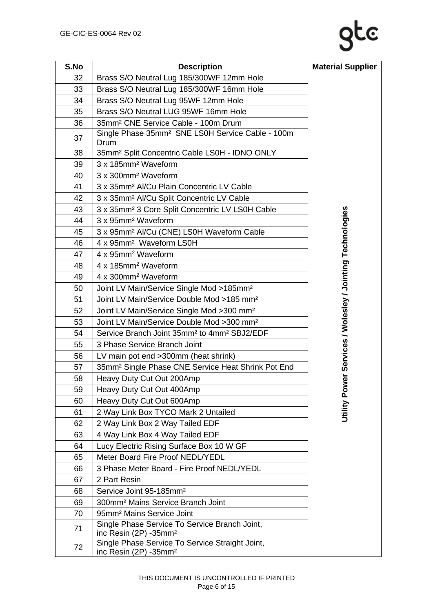| S.No | <b>Description</b>                                                                   | <b>Material Supplier</b>                                  |
|------|--------------------------------------------------------------------------------------|-----------------------------------------------------------|
| 32   | Brass S/O Neutral Lug 185/300WF 12mm Hole                                            |                                                           |
| 33   | Brass S/O Neutral Lug 185/300WF 16mm Hole                                            |                                                           |
| 34   | Brass S/O Neutral Lug 95WF 12mm Hole                                                 |                                                           |
| 35   | Brass S/O Neutral LUG 95WF 16mm Hole                                                 |                                                           |
| 36   | 35mm <sup>2</sup> CNE Service Cable - 100m Drum                                      |                                                           |
| 37   | Single Phase 35mm <sup>2</sup> SNE LS0H Service Cable - 100m<br>Drum                 |                                                           |
| 38   | 35mm <sup>2</sup> Split Concentric Cable LS0H - IDNO ONLY                            |                                                           |
| 39   | 3 x 185mm <sup>2</sup> Waveform                                                      |                                                           |
| 40   | 3 x 300mm <sup>2</sup> Waveform                                                      |                                                           |
| 41   | 3 x 35mm <sup>2</sup> Al/Cu Plain Concentric LV Cable                                |                                                           |
| 42   | 3 x 35mm <sup>2</sup> Al/Cu Split Concentric LV Cable                                |                                                           |
| 43   | 3 x 35mm <sup>2</sup> 3 Core Split Concentric LV LS0H Cable                          |                                                           |
| 44   | 3 x 95mm <sup>2</sup> Waveform                                                       |                                                           |
| 45   | 3 x 95mm <sup>2</sup> Al/Cu (CNE) LS0H Waveform Cable                                | Utility Power Services / Wolesley / Jointing Technologies |
| 46   | 4 x 95mm <sup>2</sup> Waveform LS0H                                                  |                                                           |
| 47   | 4 x 95mm <sup>2</sup> Waveform                                                       |                                                           |
| 48   | 4 x 185mm <sup>2</sup> Waveform                                                      |                                                           |
| 49   | 4 x 300mm <sup>2</sup> Waveform                                                      |                                                           |
| 50   | Joint LV Main/Service Single Mod >185mm <sup>2</sup>                                 |                                                           |
| 51   | Joint LV Main/Service Double Mod >185 mm <sup>2</sup>                                |                                                           |
| 52   | Joint LV Main/Service Single Mod >300 mm <sup>2</sup>                                |                                                           |
| 53   | Joint LV Main/Service Double Mod >300 mm <sup>2</sup>                                |                                                           |
| 54   | Service Branch Joint 35mm <sup>2</sup> to 4mm <sup>2</sup> SBJ2/EDF                  |                                                           |
| 55   | 3 Phase Service Branch Joint                                                         |                                                           |
| 56   | LV main pot end >300mm (heat shrink)                                                 |                                                           |
| 57   | 35mm <sup>2</sup> Single Phase CNE Service Heat Shrink Pot End                       |                                                           |
| 58   | Heavy Duty Cut Out 200Amp                                                            |                                                           |
| 59   | Heavy Duty Cut Out 400Amp                                                            |                                                           |
| 60   | Heavy Duty Cut Out 600Amp                                                            |                                                           |
| 61   | 2 Way Link Box TYCO Mark 2 Untailed                                                  |                                                           |
| 62   | 2 Way Link Box 2 Way Tailed EDF                                                      |                                                           |
| 63   | 4 Way Link Box 4 Way Tailed EDF                                                      |                                                           |
| 64   | Lucy Electric Rising Surface Box 10 W GF                                             |                                                           |
| 65   | Meter Board Fire Proof NEDL/YEDL                                                     |                                                           |
| 66   | 3 Phase Meter Board - Fire Proof NEDL/YEDL                                           |                                                           |
| 67   | 2 Part Resin                                                                         |                                                           |
| 68   | Service Joint 95-185mm <sup>2</sup>                                                  |                                                           |
| 69   | 300mm <sup>2</sup> Mains Service Branch Joint                                        |                                                           |
| 70   | 95mm <sup>2</sup> Mains Service Joint                                                |                                                           |
| 71   | Single Phase Service To Service Branch Joint,<br>inc Resin (2P) -35mm <sup>2</sup>   |                                                           |
| 72   | Single Phase Service To Service Straight Joint,<br>inc Resin (2P) -35mm <sup>2</sup> |                                                           |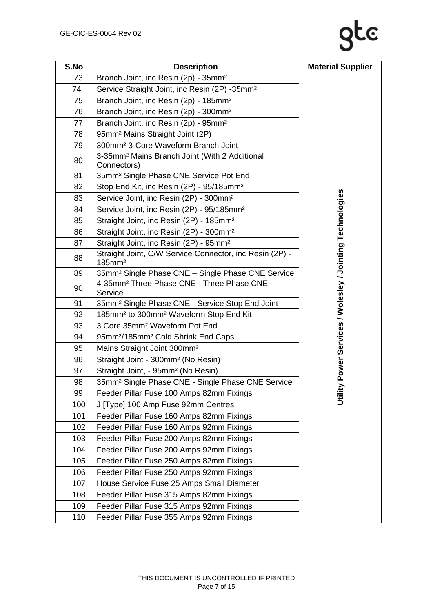# **S.No Description Material Supplier**

| S.No | <b>Description</b>                                                            | <b>Material Supplier</b>                          |
|------|-------------------------------------------------------------------------------|---------------------------------------------------|
| 73   | Branch Joint, inc Resin (2p) - 35mm <sup>2</sup>                              |                                                   |
| 74   | Service Straight Joint, inc Resin (2P) -35mm <sup>2</sup>                     |                                                   |
| 75   | Branch Joint, inc Resin (2p) - 185mm <sup>2</sup>                             |                                                   |
| 76   | Branch Joint, inc Resin (2p) - 300mm <sup>2</sup>                             |                                                   |
| 77   | Branch Joint, inc Resin (2p) - 95mm <sup>2</sup>                              |                                                   |
| 78   | 95mm <sup>2</sup> Mains Straight Joint (2P)                                   |                                                   |
| 79   | 300mm <sup>2</sup> 3-Core Waveform Branch Joint                               |                                                   |
| 80   | 3-35mm <sup>2</sup> Mains Branch Joint (With 2 Additional<br>Connectors)      |                                                   |
| 81   | 35mm <sup>2</sup> Single Phase CNE Service Pot End                            |                                                   |
| 82   | Stop End Kit, inc Resin (2P) - 95/185mm <sup>2</sup>                          |                                                   |
| 83   | Service Joint, inc Resin (2P) - 300mm <sup>2</sup>                            |                                                   |
| 84   | Service Joint, inc Resin (2P) - 95/185mm <sup>2</sup>                         |                                                   |
| 85   | Straight Joint, inc Resin (2P) - 185mm <sup>2</sup>                           |                                                   |
| 86   | Straight Joint, inc Resin (2P) - 300mm <sup>2</sup>                           |                                                   |
| 87   | Straight Joint, inc Resin (2P) - 95mm <sup>2</sup>                            |                                                   |
| 88   | Straight Joint, C/W Service Connector, inc Resin (2P) -<br>185mm <sup>2</sup> | Power Services / Wolesley / Jointing Technologies |
| 89   | 35mm <sup>2</sup> Single Phase CNE - Single Phase CNE Service                 |                                                   |
| 90   | 4-35mm <sup>2</sup> Three Phase CNE - Three Phase CNE<br>Service              |                                                   |
| 91   | 35mm <sup>2</sup> Single Phase CNE- Service Stop End Joint                    |                                                   |
| 92   | 185mm <sup>2</sup> to 300mm <sup>2</sup> Waveform Stop End Kit                |                                                   |
| 93   | 3 Core 35mm <sup>2</sup> Waveform Pot End                                     |                                                   |
| 94   | 95mm <sup>2</sup> /185mm <sup>2</sup> Cold Shrink End Caps                    |                                                   |
| 95   | Mains Straight Joint 300mm <sup>2</sup>                                       |                                                   |
| 96   | Straight Joint - 300mm <sup>2</sup> (No Resin)                                |                                                   |
| 97   | Straight Joint, - 95mm <sup>2</sup> (No Resin)                                |                                                   |
| 98   | 35mm <sup>2</sup> Single Phase CNE - Single Phase CNE Service                 |                                                   |
| 99   | Feeder Pillar Fuse 100 Amps 82mm Fixings                                      | Utility                                           |
| 100  | J [Type] 100 Amp Fuse 92mm Centres                                            |                                                   |
| 101  | Feeder Pillar Fuse 160 Amps 82mm Fixings                                      |                                                   |
| 102  | Feeder Pillar Fuse 160 Amps 92mm Fixings                                      |                                                   |
| 103  | Feeder Pillar Fuse 200 Amps 82mm Fixings                                      |                                                   |
| 104  | Feeder Pillar Fuse 200 Amps 92mm Fixings                                      |                                                   |
| 105  | Feeder Pillar Fuse 250 Amps 82mm Fixings                                      |                                                   |
| 106  | Feeder Pillar Fuse 250 Amps 92mm Fixings                                      |                                                   |
| 107  | House Service Fuse 25 Amps Small Diameter                                     |                                                   |
| 108  | Feeder Pillar Fuse 315 Amps 82mm Fixings                                      |                                                   |
| 109  | Feeder Pillar Fuse 315 Amps 92mm Fixings                                      |                                                   |
| 110  | Feeder Pillar Fuse 355 Amps 92mm Fixings                                      |                                                   |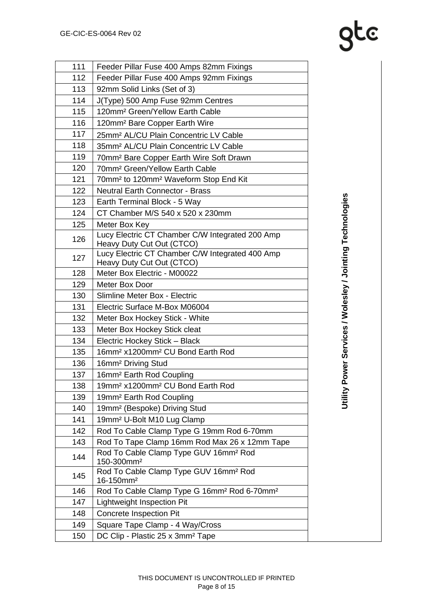# **gtc**

| 111 | Feeder Pillar Fuse 400 Amps 82mm Fixings                                     |
|-----|------------------------------------------------------------------------------|
| 112 | Feeder Pillar Fuse 400 Amps 92mm Fixings                                     |
| 113 | 92mm Solid Links (Set of 3)                                                  |
| 114 | J(Type) 500 Amp Fuse 92mm Centres                                            |
| 115 | 120mm <sup>2</sup> Green/Yellow Earth Cable                                  |
| 116 | 120mm <sup>2</sup> Bare Copper Earth Wire                                    |
| 117 | 25mm <sup>2</sup> AL/CU Plain Concentric LV Cable                            |
| 118 | 35mm <sup>2</sup> AL/CU Plain Concentric LV Cable                            |
| 119 | 70mm <sup>2</sup> Bare Copper Earth Wire Soft Drawn                          |
| 120 | 70mm <sup>2</sup> Green/Yellow Earth Cable                                   |
| 121 | 70mm <sup>2</sup> to 120mm <sup>2</sup> Waveform Stop End Kit                |
| 122 | <b>Neutral Earth Connector - Brass</b>                                       |
| 123 | Earth Terminal Block - 5 Way                                                 |
| 124 | CT Chamber M/S 540 x 520 x 230mm                                             |
| 125 | Meter Box Key                                                                |
| 126 | Lucy Electric CT Chamber C/W Integrated 200 Amp<br>Heavy Duty Cut Out (CTCO) |
| 127 | Lucy Electric CT Chamber C/W Integrated 400 Amp<br>Heavy Duty Cut Out (CTCO) |
| 128 | Meter Box Electric - M00022                                                  |
| 129 | Meter Box Door                                                               |
| 130 | Slimline Meter Box - Electric                                                |
| 131 | Electric Surface M-Box M06004                                                |
| 132 | Meter Box Hockey Stick - White                                               |
| 133 | Meter Box Hockey Stick cleat                                                 |
| 134 | Electric Hockey Stick - Black                                                |
| 135 | 16mm <sup>2</sup> x1200mm <sup>2</sup> CU Bond Earth Rod                     |
| 136 | 16mm <sup>2</sup> Driving Stud                                               |
| 137 | 16mm <sup>2</sup> Earth Rod Coupling                                         |
| 138 | 19mm <sup>2</sup> x1200mm <sup>2</sup> CU Bond Earth Rod                     |
| 139 | 19mm <sup>2</sup> Earth Rod Coupling                                         |
| 140 | 19mm <sup>2</sup> (Bespoke) Driving Stud                                     |
| 141 | 19mm <sup>2</sup> U-Bolt M10 Lug Clamp                                       |
| 142 | Rod To Cable Clamp Type G 19mm Rod 6-70mm                                    |
| 143 | Rod To Tape Clamp 16mm Rod Max 26 x 12mm Tape                                |
| 144 | Rod To Cable Clamp Type GUV 16mm <sup>2</sup> Rod<br>150-300mm <sup>2</sup>  |
| 145 | Rod To Cable Clamp Type GUV 16mm <sup>2</sup> Rod<br>16-150mm <sup>2</sup>   |
| 146 | Rod To Cable Clamp Type G 16mm <sup>2</sup> Rod 6-70mm <sup>2</sup>          |
| 147 | Lightweight Inspection Pit                                                   |
| 148 | <b>Concrete Inspection Pit</b>                                               |
| 149 | Square Tape Clamp - 4 Way/Cross                                              |
| 150 | DC Clip - Plastic 25 x 3mm <sup>2</sup> Tape                                 |
|     |                                                                              |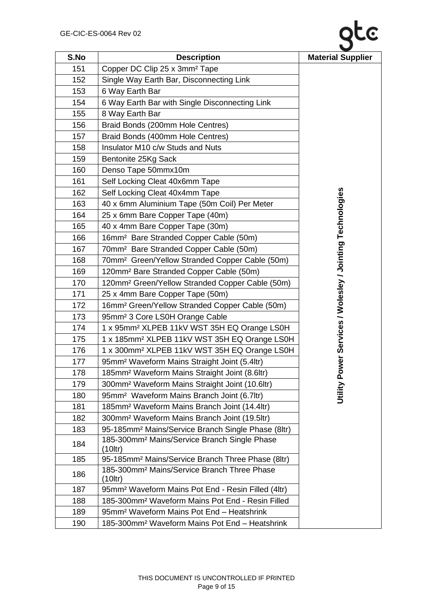| S.No | <b>Description</b>                                                        | <b>Material Supplier</b>                          |
|------|---------------------------------------------------------------------------|---------------------------------------------------|
| 151  | Copper DC Clip 25 x 3mm <sup>2</sup> Tape                                 |                                                   |
| 152  | Single Way Earth Bar, Disconnecting Link                                  |                                                   |
| 153  | 6 Way Earth Bar                                                           |                                                   |
| 154  | 6 Way Earth Bar with Single Disconnecting Link                            |                                                   |
| 155  | 8 Way Earth Bar                                                           |                                                   |
| 156  | Braid Bonds (200mm Hole Centres)                                          |                                                   |
| 157  | Braid Bonds (400mm Hole Centres)                                          |                                                   |
| 158  | Insulator M10 c/w Studs and Nuts                                          |                                                   |
| 159  | Bentonite 25Kg Sack                                                       |                                                   |
| 160  | Denso Tape 50mmx10m                                                       |                                                   |
| 161  | Self Locking Cleat 40x6mm Tape                                            |                                                   |
| 162  | Self Locking Cleat 40x4mm Tape                                            |                                                   |
| 163  | 40 x 6mm Aluminium Tape (50m Coil) Per Meter                              |                                                   |
| 164  | 25 x 6mm Bare Copper Tape (40m)                                           |                                                   |
| 165  | 40 x 4mm Bare Copper Tape (30m)                                           |                                                   |
| 166  | 16mm <sup>2</sup> Bare Stranded Copper Cable (50m)                        |                                                   |
| 167  | 70mm <sup>2</sup> Bare Stranded Copper Cable (50m)                        |                                                   |
| 168  | 70mm <sup>2</sup> Green/Yellow Stranded Copper Cable (50m)                |                                                   |
| 169  | 120mm <sup>2</sup> Bare Stranded Copper Cable (50m)                       | Power Services / Wolesley / Jointing Technologies |
| 170  | 120mm <sup>2</sup> Green/Yellow Stranded Copper Cable (50m)               |                                                   |
| 171  | 25 x 4mm Bare Copper Tape (50m)                                           |                                                   |
| 172  | 16mm <sup>2</sup> Green/Yellow Stranded Copper Cable (50m)                |                                                   |
| 173  | 95mm <sup>2</sup> 3 Core LS0H Orange Cable                                |                                                   |
| 174  | 1 x 95mm <sup>2</sup> XLPEB 11kV WST 35H EQ Orange LS0H                   |                                                   |
| 175  | 1 x 185mm <sup>2</sup> XLPEB 11kV WST 35H EQ Orange LS0H                  |                                                   |
| 176  | 1 x 300mm <sup>2</sup> XLPEB 11kV WST 35H EQ Orange LS0H                  |                                                   |
| 177  | 95mm <sup>2</sup> Waveform Mains Straight Joint (5.4ltr)                  |                                                   |
| 178  | 185mm <sup>2</sup> Waveform Mains Straight Joint (8.6ltr)                 |                                                   |
| 179  | 300mm <sup>2</sup> Waveform Mains Straight Joint (10.6ltr)                |                                                   |
| 180  | 95mm <sup>2</sup> Waveform Mains Branch Joint (6.7ltr)                    | Utility                                           |
| 181  | 185mm <sup>2</sup> Waveform Mains Branch Joint (14.4ltr)                  |                                                   |
| 182  | 300mm <sup>2</sup> Waveform Mains Branch Joint (19.5ltr)                  |                                                   |
| 183  | 95-185mm <sup>2</sup> Mains/Service Branch Single Phase (8ltr)            |                                                   |
| 184  | 185-300mm <sup>2</sup> Mains/Service Branch Single Phase<br>$(10$ ltr $)$ |                                                   |
| 185  | 95-185mm <sup>2</sup> Mains/Service Branch Three Phase (8ltr)             |                                                   |
| 186  | 185-300mm <sup>2</sup> Mains/Service Branch Three Phase<br>$(10$ ltr $)$  |                                                   |
| 187  | 95mm <sup>2</sup> Waveform Mains Pot End - Resin Filled (4ltr)            |                                                   |
| 188  | 185-300mm <sup>2</sup> Waveform Mains Pot End - Resin Filled              |                                                   |
| 189  | 95mm <sup>2</sup> Waveform Mains Pot End - Heatshrink                     |                                                   |
| 190  | 185-300mm <sup>2</sup> Waveform Mains Pot End - Heatshrink                |                                                   |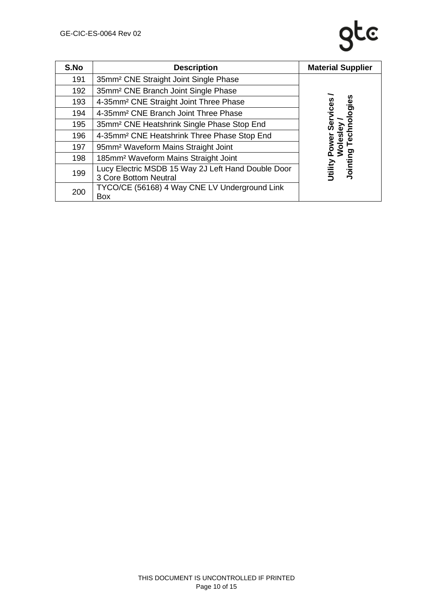| S.No | <b>Description</b>                                                          | <b>Material Supplier</b> |
|------|-----------------------------------------------------------------------------|--------------------------|
| 191  | 35mm <sup>2</sup> CNE Straight Joint Single Phase                           |                          |
| 192  | 35mm <sup>2</sup> CNE Branch Joint Single Phase                             |                          |
| 193  | 4-35mm <sup>2</sup> CNE Straight Joint Three Phase                          | ologies                  |
| 194  | 4-35mm <sup>2</sup> CNE Branch Joint Three Phase                            |                          |
| 195  | 35mm <sup>2</sup> CNE Heatshrink Single Phase Stop End                      |                          |
| 196  | 4-35mm <sup>2</sup> CNE Heatshrink Three Phase Stop End                     |                          |
| 197  | 95mm <sup>2</sup> Waveform Mains Straight Joint                             | Power<br>Woles           |
| 198  | 185mm <sup>2</sup> Waveform Mains Straight Joint                            | ဥ                        |
| 199  | Lucy Electric MSDB 15 Way 2J Left Hand Double Door<br>3 Core Bottom Neutral | Jointii<br>Jtility       |
| 200  | TYCO/CE (56168) 4 Way CNE LV Underground Link<br>Box                        |                          |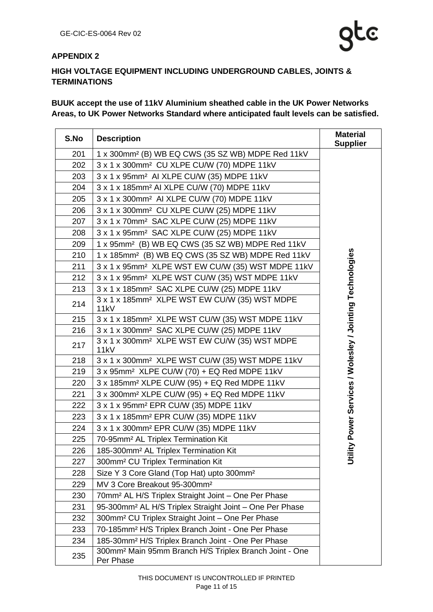### <span id="page-10-0"></span>**APPENDIX 2**

### **HIGH VOLTAGE EQUIPMENT INCLUDING UNDERGROUND CABLES, JOINTS & TERMINATIONS**

### **BUUK accept the use of 11kV Aluminium sheathed cable in the UK Power Networks Areas, to UK Power Networks Standard where anticipated fault levels can be satisfied.**

| S.No | <b>Description</b>                                                              | <b>Material</b><br><b>Supplier</b>                     |
|------|---------------------------------------------------------------------------------|--------------------------------------------------------|
| 201  | 1 x 300mm <sup>2</sup> (B) WB EQ CWS (35 SZ WB) MDPE Red 11kV                   |                                                        |
| 202  | 3 x 1 x 300mm <sup>2</sup> CU XLPE CU/W (70) MDPE 11kV                          |                                                        |
| 203  | 3 x 1 x 95mm <sup>2</sup> AI XLPE CU/W (35) MDPE 11kV                           |                                                        |
| 204  | 3 x 1 x 185mm <sup>2</sup> AI XLPE CU/W (70) MDPE 11kV                          |                                                        |
| 205  | 3 x 1 x 300mm <sup>2</sup> AI XLPE CU/W (70) MDPE 11kV                          |                                                        |
| 206  | 3 x 1 x 300mm <sup>2</sup> CU XLPE CU/W (25) MDPE 11kV                          |                                                        |
| 207  | 3 x 1 x 70mm <sup>2</sup> SAC XLPE CU/W (25) MDPE 11kV                          |                                                        |
| 208  | 3 x 1 x 95mm <sup>2</sup> SAC XLPE CU/W (25) MDPE 11kV                          |                                                        |
| 209  | 1 x 95mm <sup>2</sup> (B) WB EQ CWS (35 SZ WB) MDPE Red 11kV                    |                                                        |
| 210  | 1 x 185mm <sup>2</sup> (B) WB EQ CWS (35 SZ WB) MDPE Red 11kV                   |                                                        |
| 211  | 3 x 1 x 95mm <sup>2</sup> XLPE WST EW CU/W (35) WST MDPE 11kV                   |                                                        |
| 212  | 3 x 1 x 95mm <sup>2</sup> XLPE WST CU/W (35) WST MDPE 11kV                      |                                                        |
| 213  | 3 x 1 x 185mm <sup>2</sup> SAC XLPE CU/W (25) MDPE 11kV                         |                                                        |
| 214  | 3 x 1 x 185mm <sup>2</sup> XLPE WST EW CU/W (35) WST MDPE<br>11kV               |                                                        |
| 215  | 3 x 1 x 185mm <sup>2</sup> XLPE WST CU/W (35) WST MDPE 11kV                     |                                                        |
| 216  | 3 x 1 x 300mm <sup>2</sup> SAC XLPE CU/W (25) MDPE 11kV                         |                                                        |
| 217  | 3 x 1 x 300mm <sup>2</sup> XLPE WST EW CU/W (35) WST MDPE<br>11kV               | lity Power Services / Wolesley / Jointing Technologies |
| 218  | 3 x 1 x 300mm <sup>2</sup> XLPE WST CU/W (35) WST MDPE 11kV                     |                                                        |
| 219  | 3 x 95mm <sup>2</sup> XLPE CU/W (70) + EQ Red MDPE 11kV                         |                                                        |
| 220  | 3 x 185mm <sup>2</sup> XLPE CU/W (95) + EQ Red MDPE 11kV                        |                                                        |
| 221  | 3 x 300mm <sup>2</sup> XLPE CU/W (95) + EQ Red MDPE 11kV                        |                                                        |
| 222  | 3 x 1 x 95mm <sup>2</sup> EPR CU/W (35) MDPE 11kV                               |                                                        |
| 223  | 3 x 1 x 185mm <sup>2</sup> EPR CU/W (35) MDPE 11kV                              |                                                        |
| 224  | 3 x 1 x 300mm <sup>2</sup> EPR CU/W (35) MDPE 11kV                              |                                                        |
| 225  | 70-95mm <sup>2</sup> AL Triplex Termination Kit                                 |                                                        |
| 226  | 185-300mm <sup>2</sup> AL Triplex Termination Kit                               |                                                        |
| 227  | 300mm <sup>2</sup> CU Triplex Termination Kit                                   | ぉ                                                      |
| 228  | Size Y 3 Core Gland (Top Hat) upto 300mm <sup>2</sup>                           |                                                        |
| 229  | MV 3 Core Breakout 95-300mm <sup>2</sup>                                        |                                                        |
| 230  | 70mm <sup>2</sup> AL H/S Triplex Straight Joint - One Per Phase                 |                                                        |
| 231  | 95-300mm <sup>2</sup> AL H/S Triplex Straight Joint - One Per Phase             |                                                        |
| 232  | 300mm <sup>2</sup> CU Triplex Straight Joint - One Per Phase                    |                                                        |
| 233  | 70-185mm <sup>2</sup> H/S Triplex Branch Joint - One Per Phase                  |                                                        |
| 234  | 185-30mm <sup>2</sup> H/S Triplex Branch Joint - One Per Phase                  |                                                        |
| 235  | 300mm <sup>2</sup> Main 95mm Branch H/S Triplex Branch Joint - One<br>Per Phase |                                                        |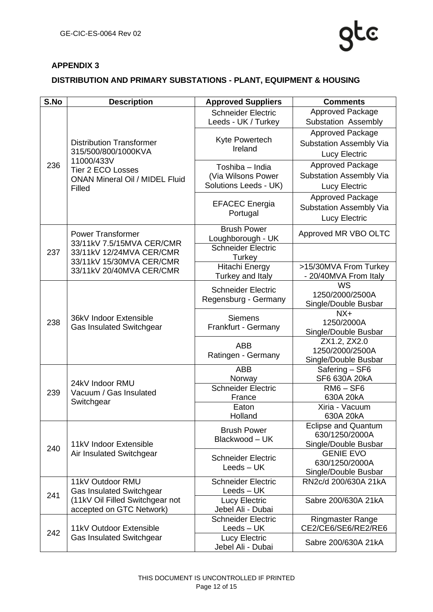

### <span id="page-11-0"></span>**APPENDIX 3**

### **DISTRIBUTION AND PRIMARY SUBSTATIONS - PLANT, EQUIPMENT & HOUSING**

| S.No | <b>Description</b>                                                                                                      | <b>Approved Suppliers</b>                                      | <b>Comments</b>                                |
|------|-------------------------------------------------------------------------------------------------------------------------|----------------------------------------------------------------|------------------------------------------------|
|      |                                                                                                                         | <b>Schneider Electric</b>                                      | <b>Approved Package</b>                        |
|      |                                                                                                                         | Leeds - UK / Turkey                                            | Substation Assembly                            |
|      |                                                                                                                         |                                                                | Approved Package                               |
|      | <b>Distribution Transformer</b>                                                                                         | Kyte Powertech                                                 | Substation Assembly Via                        |
|      | 315/500/800/1000KVA<br>11000/433V<br><b>Tier 2 ECO Losses</b><br><b>ONAN Mineral Oil / MIDEL Fluid</b><br><b>Filled</b> | Ireland                                                        | <b>Lucy Electric</b>                           |
| 236  |                                                                                                                         |                                                                | Approved Package                               |
|      |                                                                                                                         | Toshiba - India<br>(Via Wilsons Power<br>Solutions Leeds - UK) | <b>Substation Assembly Via</b>                 |
|      |                                                                                                                         |                                                                | Lucy Electric                                  |
|      |                                                                                                                         | <b>EFACEC</b> Energia<br>Portugal                              | <b>Approved Package</b>                        |
|      |                                                                                                                         |                                                                | Substation Assembly Via                        |
|      |                                                                                                                         |                                                                |                                                |
|      |                                                                                                                         |                                                                | <b>Lucy Electric</b>                           |
|      | <b>Power Transformer</b><br>33/11kV 7.5/15MVA CER/CMR                                                                   | <b>Brush Power</b>                                             | Approved MR VBO OLTC                           |
|      |                                                                                                                         | Loughborough - UK<br><b>Schneider Electric</b>                 |                                                |
| 237  | 33/11kV 12/24MVA CER/CMR                                                                                                | Turkey                                                         |                                                |
|      | 33/11kV 15/30MVA CER/CMR                                                                                                | <b>Hitachi Energy</b>                                          | >15/30MVA From Turkey                          |
|      | 33/11kV 20/40MVA CER/CMR                                                                                                | Turkey and Italy                                               | - 20/40MVA From Italy                          |
|      |                                                                                                                         | <b>Schneider Electric</b>                                      | WS                                             |
|      |                                                                                                                         | Regensburg - Germany                                           | 1250/2000/2500A                                |
|      | 36kV Indoor Extensible<br><b>Gas Insulated Switchgear</b>                                                               |                                                                | Single/Double Busbar                           |
| 238  |                                                                                                                         | <b>Siemens</b><br>Frankfurt - Germany                          | $NX+$<br>1250/2000A                            |
|      |                                                                                                                         |                                                                | Single/Double Busbar                           |
|      |                                                                                                                         | <b>ABB</b><br>Ratingen - Germany                               | ZX1.2, ZX2.0                                   |
|      |                                                                                                                         |                                                                | 1250/2000/2500A                                |
|      |                                                                                                                         |                                                                | Single/Double Busbar                           |
|      | 24kV Indoor RMU<br>Vacuum / Gas Insulated<br>Switchgear                                                                 | <b>ABB</b>                                                     | Safering - SF6                                 |
|      |                                                                                                                         | Norway                                                         | SF6 630A 20kA                                  |
| 239  |                                                                                                                         | <b>Schneider Electric</b>                                      | $RM6 - SF6$                                    |
|      |                                                                                                                         | France                                                         | 630A 20kA                                      |
|      |                                                                                                                         | Eaton                                                          | Xiria - Vacuum                                 |
|      |                                                                                                                         | Holland                                                        | 630A 20kA<br><b>Eclipse and Quantum</b>        |
|      | 11kV Indoor Extensible<br>Air Insulated Switchgear                                                                      | <b>Brush Power</b><br>Blackwood - UK                           | 630/1250/2000A                                 |
|      |                                                                                                                         |                                                                | Single/Double Busbar                           |
| 240  |                                                                                                                         | <b>Schneider Electric</b><br>Leeds – UK                        | <b>GENIE EVO</b>                               |
|      |                                                                                                                         |                                                                | 630/1250/2000A                                 |
|      |                                                                                                                         |                                                                | Single/Double Busbar                           |
|      | 11kV Outdoor RMU                                                                                                        | <b>Schneider Electric</b>                                      | RN2c/d 200/630A 21kA                           |
| 241  | <b>Gas Insulated Switchgear</b>                                                                                         | Leeds – UK                                                     |                                                |
|      | (11kV Oil Filled Switchgear not                                                                                         | Lucy Electric                                                  | Sabre 200/630A 21kA                            |
|      | accepted on GTC Network)                                                                                                | Jebel Ali - Dubai                                              |                                                |
|      | 11kV Outdoor Extensible<br><b>Gas Insulated Switchgear</b>                                                              | <b>Schneider Electric</b><br>Leeds – UK                        | <b>Ringmaster Range</b><br>CE2/CE6/SE6/RE2/RE6 |
| 242  |                                                                                                                         | <b>Lucy Electric</b>                                           |                                                |
|      |                                                                                                                         | Jebel Ali - Dubai                                              | Sabre 200/630A 21kA                            |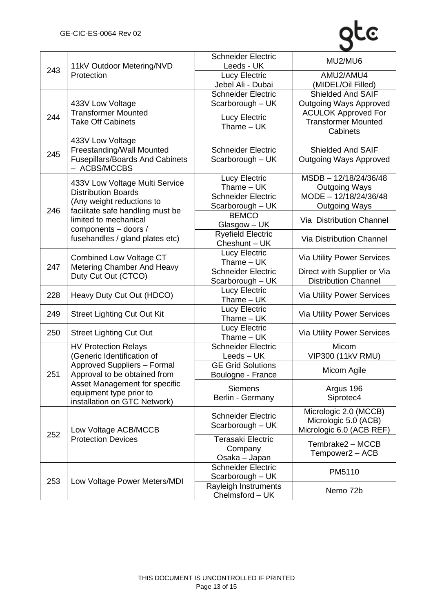| 243 | 11kV Outdoor Metering/NVD<br>Protection                                                                 | <b>Schneider Electric</b><br>Leeds - UK              | MU2/MU6                                                                   |
|-----|---------------------------------------------------------------------------------------------------------|------------------------------------------------------|---------------------------------------------------------------------------|
|     |                                                                                                         | <b>Lucy Electric</b><br>Jebel Ali - Dubai            | AMU2/AMU4<br>(MIDEL/Oil Filled)                                           |
| 244 | 433V Low Voltage<br><b>Transformer Mounted</b><br><b>Take Off Cabinets</b>                              | <b>Schneider Electric</b><br>Scarborough - UK        | Shielded And SAIF<br><b>Outgoing Ways Approved</b>                        |
|     |                                                                                                         | <b>Lucy Electric</b><br>$Thame - UK$                 | <b>ACULOK Approved For</b><br><b>Transformer Mounted</b><br>Cabinets      |
| 245 | 433V Low Voltage<br>Freestanding/Wall Mounted<br><b>Fusepillars/Boards And Cabinets</b><br>- ACBS/MCCBS | <b>Schneider Electric</b><br>Scarborough - UK        | <b>Shielded And SAIF</b><br><b>Outgoing Ways Approved</b>                 |
|     | 433V Low Voltage Multi Service                                                                          | <b>Lucy Electric</b><br>Thame - UK                   | MSDB-12/18/24/36/48<br><b>Outgoing Ways</b>                               |
|     | <b>Distribution Boards</b><br>(Any weight reductions to                                                 | <b>Schneider Electric</b>                            | MODE - 12/18/24/36/48                                                     |
| 246 | facilitate safe handling must be                                                                        | Scarborough - UK<br><b>BEMCO</b>                     | <b>Outgoing Ways</b>                                                      |
|     | limited to mechanical                                                                                   | Glasgow – UK                                         | Via Distribution Channel                                                  |
|     | components - doors /<br>fusehandles / gland plates etc)                                                 | <b>Ryefield Electric</b><br>Cheshunt - UK            | Via Distribution Channel                                                  |
|     | <b>Combined Low Voltage CT</b><br>Metering Chamber And Heavy<br>Duty Cut Out (CTCO)                     | <b>Lucy Electric</b><br>Thame $-$ UK                 | <b>Via Utility Power Services</b>                                         |
| 247 |                                                                                                         | <b>Schneider Electric</b><br>Scarborough - UK        | Direct with Supplier or Via<br><b>Distribution Channel</b>                |
| 228 | Heavy Duty Cut Out (HDCO)                                                                               | <b>Lucy Electric</b><br>Thame - UK                   | Via Utility Power Services                                                |
| 249 | <b>Street Lighting Cut Out Kit</b>                                                                      | <b>Lucy Electric</b><br>Thame – UK                   | Via Utility Power Services                                                |
| 250 | <b>Street Lighting Cut Out</b>                                                                          | Lucy Electric<br>Thame $-$ UK                        | Via Utility Power Services                                                |
|     | <b>HV Protection Relays</b>                                                                             | <b>Schneider Electric</b>                            | Micom                                                                     |
|     | (Generic Identification of<br><b>Approved Suppliers - Formal</b>                                        | Leeds – UK<br><b>GE Grid Solutions</b>               | <b>VIP300 (11kV RMU)</b>                                                  |
| 251 | Approval to be obtained from                                                                            | Boulogne - France                                    | Micom Agile                                                               |
|     | Asset Management for specific                                                                           | <b>Siemens</b>                                       | Argus 196                                                                 |
|     | equipment type prior to<br>installation on GTC Network)                                                 | Berlin - Germany                                     | Siprotec4                                                                 |
| 252 | Low Voltage ACB/MCCB<br><b>Protection Devices</b>                                                       | <b>Schneider Electric</b><br>Scarborough - UK        | Micrologic 2.0 (MCCB)<br>Micrologic 5.0 (ACB)<br>Micrologic 6.0 (ACB REF) |
|     |                                                                                                         | <b>Terasaki Electric</b><br>Company<br>Osaka - Japan | Tembrake2 - MCCB<br>Tempower2 - ACB                                       |
| 253 | Low Voltage Power Meters/MDI                                                                            | <b>Schneider Electric</b><br>Scarborough - UK        | PM5110                                                                    |
|     |                                                                                                         | Rayleigh Instruments<br>Chelmsford - UK              | Nemo 72b                                                                  |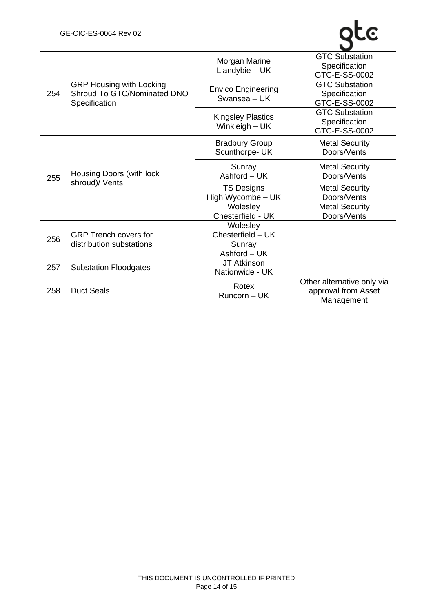| 254 | <b>GRP Housing with Locking</b><br>Shroud To GTC/Nominated DNO<br>Specification | Morgan Marine<br>Llandybie $- UK$          | <b>GTC Substation</b><br>Specification<br>GTC-E-SS-0002         |
|-----|---------------------------------------------------------------------------------|--------------------------------------------|-----------------------------------------------------------------|
|     |                                                                                 | <b>Envico Engineering</b><br>Swansea - UK  | <b>GTC Substation</b><br>Specification<br>GTC-E-SS-0002         |
|     |                                                                                 | <b>Kingsley Plastics</b><br>Winkleigh - UK | <b>GTC Substation</b><br>Specification<br>GTC-E-SS-0002         |
| 255 | Housing Doors (with lock<br>shroud)/ Vents                                      | <b>Bradbury Group</b><br>Scunthorpe- UK    | <b>Metal Security</b><br>Doors/Vents                            |
|     |                                                                                 | Sunray<br>Ashford - UK                     | <b>Metal Security</b><br>Doors/Vents                            |
|     |                                                                                 | <b>TS Designs</b><br>High Wycombe - UK     | <b>Metal Security</b><br>Doors/Vents                            |
|     |                                                                                 | Wolesley<br>Chesterfield - UK              | <b>Metal Security</b><br>Doors/Vents                            |
| 256 | <b>GRP Trench covers for</b><br>distribution substations                        | Wolesley<br>Chesterfield - UK              |                                                                 |
|     |                                                                                 | Sunray<br>Ashford - UK                     |                                                                 |
| 257 | <b>Substation Floodgates</b>                                                    | JT Atkinson<br>Nationwide - UK             |                                                                 |
| 258 | <b>Duct Seals</b>                                                               | Rotex<br>Runcorn - UK                      | Other alternative only via<br>approval from Asset<br>Management |